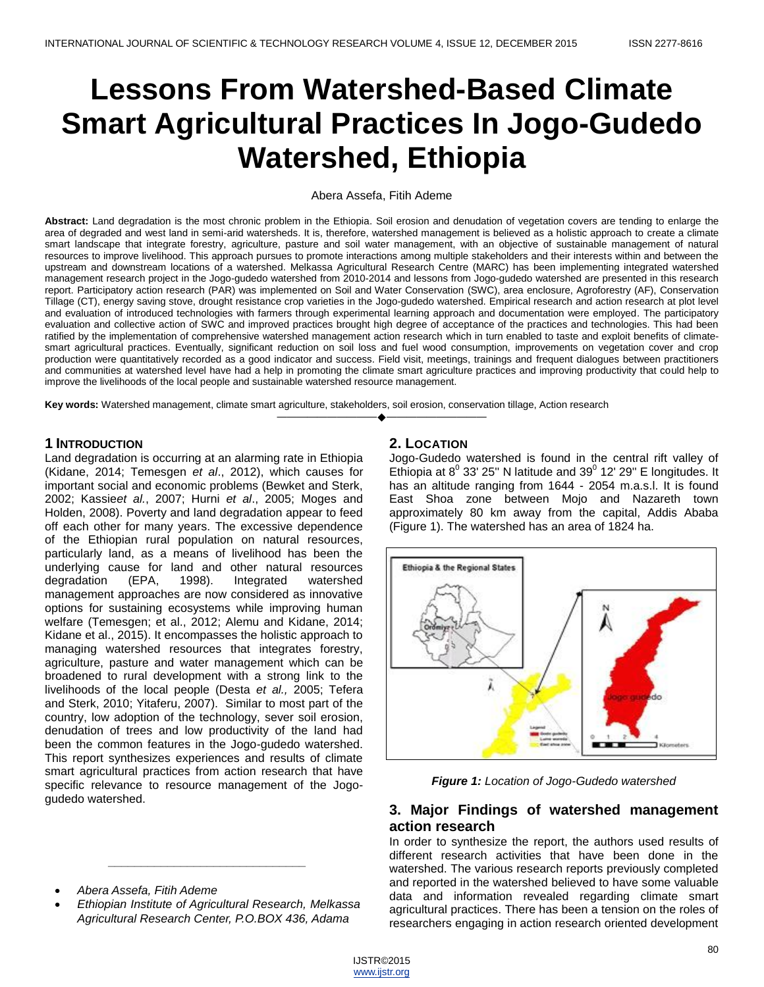# **Lessons From Watershed-Based Climate Smart Agricultural Practices In Jogo-Gudedo Watershed, Ethiopia**

#### Abera Assefa, Fitih Ademe

**Abstract:** Land degradation is the most chronic problem in the Ethiopia. Soil erosion and denudation of vegetation covers are tending to enlarge the area of degraded and west land in semi-arid watersheds. It is, therefore, watershed management is believed as a holistic approach to create a climate smart landscape that integrate forestry, agriculture, pasture and soil water management, with an objective of sustainable management of natural resources to improve livelihood. This approach pursues to promote interactions among multiple stakeholders and their interests within and between the upstream and downstream locations of a watershed. Melkassa Agricultural Research Centre (MARC) has been implementing integrated watershed management research project in the Jogo-gudedo watershed from 2010-2014 and lessons from Jogo-gudedo watershed are presented in this research report. Participatory action research (PAR) was implemented on Soil and Water Conservation (SWC), area enclosure, Agroforestry (AF), Conservation Tillage (CT), energy saving stove, drought resistance crop varieties in the Jogo-gudedo watershed. Empirical research and action research at plot level and evaluation of introduced technologies with farmers through experimental learning approach and documentation were employed. The participatory evaluation and collective action of SWC and improved practices brought high degree of acceptance of the practices and technologies. This had been ratified by the implementation of comprehensive watershed management action research which in turn enabled to taste and exploit benefits of climatesmart agricultural practices. Eventually, significant reduction on soil loss and fuel wood consumption, improvements on vegetation cover and crop production were quantitatively recorded as a good indicator and success. Field visit, meetings, trainings and frequent dialogues between practitioners and communities at watershed level have had a help in promoting the climate smart agriculture practices and improving productivity that could help to improve the livelihoods of the local people and sustainable watershed resource management.

————————————————————

**Key words:** Watershed management, climate smart agriculture, stakeholders, soil erosion, conservation tillage, Action research

## **1 INTRODUCTION**

Land degradation is occurring at an alarming rate in Ethiopia (Kidane, 2014; Temesgen *et al*., 2012), which causes for important social and economic problems (Bewket and Sterk, 2002; Kassie*et al.*, 2007; Hurni *et al*., 2005; Moges and Holden, 2008). Poverty and land degradation appear to feed off each other for many years. The excessive dependence of the Ethiopian rural population on natural resources, particularly land, as a means of livelihood has been the underlying cause for land and other natural resources degradation (EPA, 1998). Integrated watershed management approaches are now considered as innovative options for sustaining ecosystems while improving human welfare (Temesgen; et al., 2012; Alemu and Kidane, 2014; Kidane et al., 2015). It encompasses the holistic approach to managing watershed resources that integrates forestry, agriculture, pasture and water management which can be broadened to rural development with a strong link to the livelihoods of the local people (Desta *et al.,* 2005; Tefera and Sterk, 2010; Yitaferu, 2007). Similar to most part of the country, low adoption of the technology, sever soil erosion, denudation of trees and low productivity of the land had been the common features in the Jogo-gudedo watershed. This report synthesizes experiences and results of climate smart agricultural practices from action research that have specific relevance to resource management of the Jogogudedo watershed.

- *Abera Assefa, Fitih Ademe*
- *Ethiopian Institute of Agricultural Research, Melkassa Agricultural Research Center, P.O.BOX 436, Adama*

*\_\_\_\_\_\_\_\_\_\_\_\_\_\_\_\_\_\_\_\_\_\_\_\_\_\_\_\_\_\_*

## **2. LOCATION**

Jogo-Gudedo watershed is found in the central rift valley of Ethiopia at  $8^{\circ}$  33' 25" N latitude and 39 $^{\circ}$  12' 29" E longitudes. It has an altitude ranging from 1644 - 2054 m.a.s.l. It is found East Shoa zone between Mojo and Nazareth town approximately 80 km away from the capital, Addis Ababa (Figure 1). The watershed has an area of 1824 ha.



*Figure 1: Location of Jogo-Gudedo watershed*

## **3. Major Findings of watershed management action research**

In order to synthesize the report, the authors used results of different research activities that have been done in the watershed. The various research reports previously completed and reported in the watershed believed to have some valuable data and information revealed regarding climate smart agricultural practices. There has been a tension on the roles of researchers engaging in action research oriented development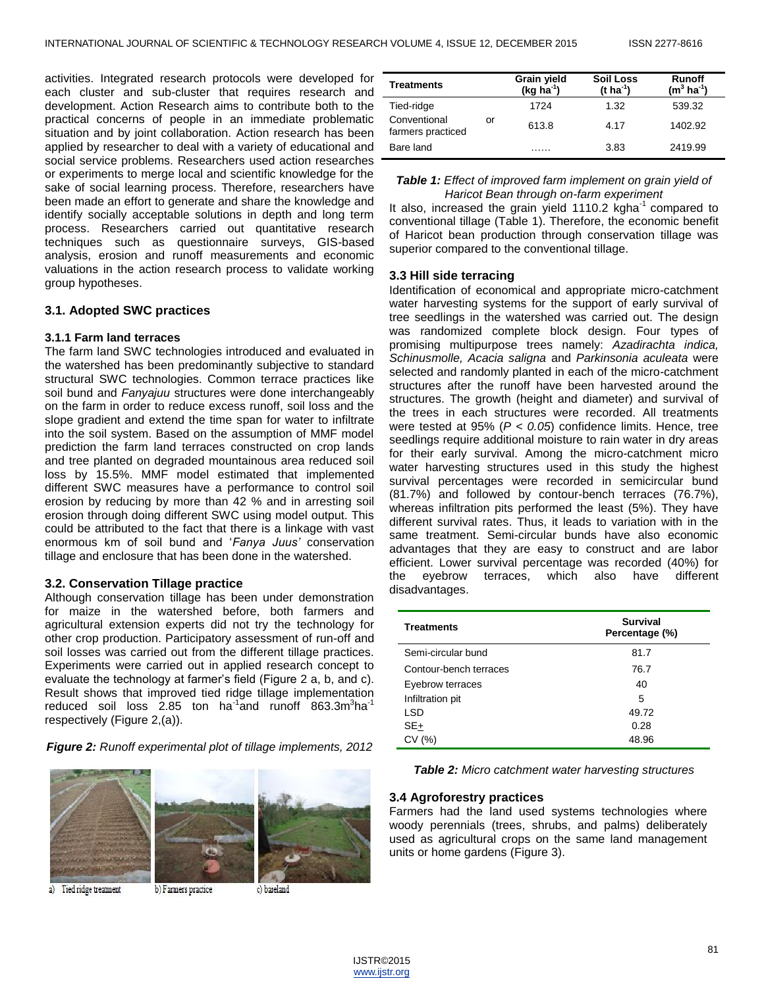activities. Integrated research protocols were developed for each cluster and sub-cluster that requires research and development. Action Research aims to contribute both to the practical concerns of people in an immediate problematic situation and by joint collaboration. Action research has been applied by researcher to deal with a variety of educational and social service problems. Researchers used action researches or experiments to merge local and scientific knowledge for the sake of social learning process. Therefore, researchers have been made an effort to generate and share the knowledge and identify socially acceptable solutions in depth and long term process. Researchers carried out quantitative research techniques such as questionnaire surveys, GIS-based analysis, erosion and runoff measurements and economic valuations in the action research process to validate working group hypotheses.

## **3.1. Adopted SWC practices**

#### **3.1.1 Farm land terraces**

The farm land SWC technologies introduced and evaluated in the watershed has been predominantly subjective to standard structural SWC technologies. Common terrace practices like soil bund and *Fanyajuu* structures were done interchangeably on the farm in order to reduce excess runoff, soil loss and the slope gradient and extend the time span for water to infiltrate into the soil system. Based on the assumption of MMF model prediction the farm land terraces constructed on crop lands and tree planted on degraded mountainous area reduced soil loss by 15.5%. MMF model estimated that implemented different SWC measures have a performance to control soil erosion by reducing by more than 42 % and in arresting soil erosion through doing different SWC using model output. This could be attributed to the fact that there is a linkage with vast enormous km of soil bund and '*Fanya Juus"* conservation tillage and enclosure that has been done in the watershed.

#### **3.2. Conservation Tillage practice**

Although conservation tillage has been under demonstration for maize in the watershed before, both farmers and agricultural extension experts did not try the technology for other crop production. Participatory assessment of run-off and soil losses was carried out from the different tillage practices. Experiments were carried out in applied research concept to evaluate the technology at farmer's field (Figure 2 a, b, and c). Result shows that improved tied ridge tillage implementation reduced soil loss 2.85 ton ha<sup>-1</sup>and runoff 863.3m<sup>3</sup>ha<sup>-1</sup> respectively (Figure 2,(a)).

*Figure 2: Runoff experimental plot of tillage implements, 2012*





a) Tied ridge treatment

b) Farmers practice

c) bareland

| <b>Treatments</b>                 |    | Grain yield<br>$(kg ha-1)$ | <b>Soil Loss</b><br>(t ha <sup>-1</sup> ) | <b>Runoff</b><br>$(m^3 \, ha^1)$ |
|-----------------------------------|----|----------------------------|-------------------------------------------|----------------------------------|
| Tied-ridge                        |    | 1724                       | 1.32                                      | 539.32                           |
| Conventional<br>farmers practiced | or | 613.8                      | 4.17                                      | 1402.92                          |
| Bare land                         |    |                            | 3.83                                      | 2419.99                          |

## *Table 1: Effect of improved farm implement on grain yield of Haricot Bean through on-farm experiment*

It also, increased the grain yield  $1110.2$  kgha<sup>-1</sup> compared to conventional tillage (Table 1). Therefore, the economic benefit of Haricot bean production through conservation tillage was superior compared to the conventional tillage.

#### **3.3 Hill side terracing**

Identification of economical and appropriate micro-catchment water harvesting systems for the support of early survival of tree seedlings in the watershed was carried out. The design was randomized complete block design. Four types of promising multipurpose trees namely: *Azadirachta indica, Schinusmolle, Acacia saligna* and *Parkinsonia aculeata* were selected and randomly planted in each of the micro-catchment structures after the runoff have been harvested around the structures. The growth (height and diameter) and survival of the trees in each structures were recorded. All treatments were tested at 95% (*P < 0.05*) confidence limits. Hence, tree seedlings require additional moisture to rain water in dry areas for their early survival. Among the micro-catchment micro water harvesting structures used in this study the highest survival percentages were recorded in semicircular bund (81.7%) and followed by contour-bench terraces (76.7%), whereas infiltration pits performed the least (5%). They have different survival rates. Thus, it leads to variation with in the same treatment. Semi-circular bunds have also economic advantages that they are easy to construct and are labor efficient. Lower survival percentage was recorded (40%) for the eyebrow terraces, which also have different disadvantages.

| <b>Treatments</b>      | <b>Survival</b><br>Percentage (%) |
|------------------------|-----------------------------------|
| Semi-circular bund     | 81.7                              |
| Contour-bench terraces | 76.7                              |
| Eyebrow terraces       | 40                                |
| Infiltration pit       | 5                                 |
| LSD                    | 49.72                             |
| SE+                    | 0.28                              |
| CV (%)                 | 48.96                             |

*Table 2: Micro catchment water harvesting structures*

#### **3.4 Agroforestry practices**

Farmers had the land used systems technologies where woody perennials (trees, shrubs, and palms) deliberately used as agricultural crops on the same land management units or home gardens (Figure 3).

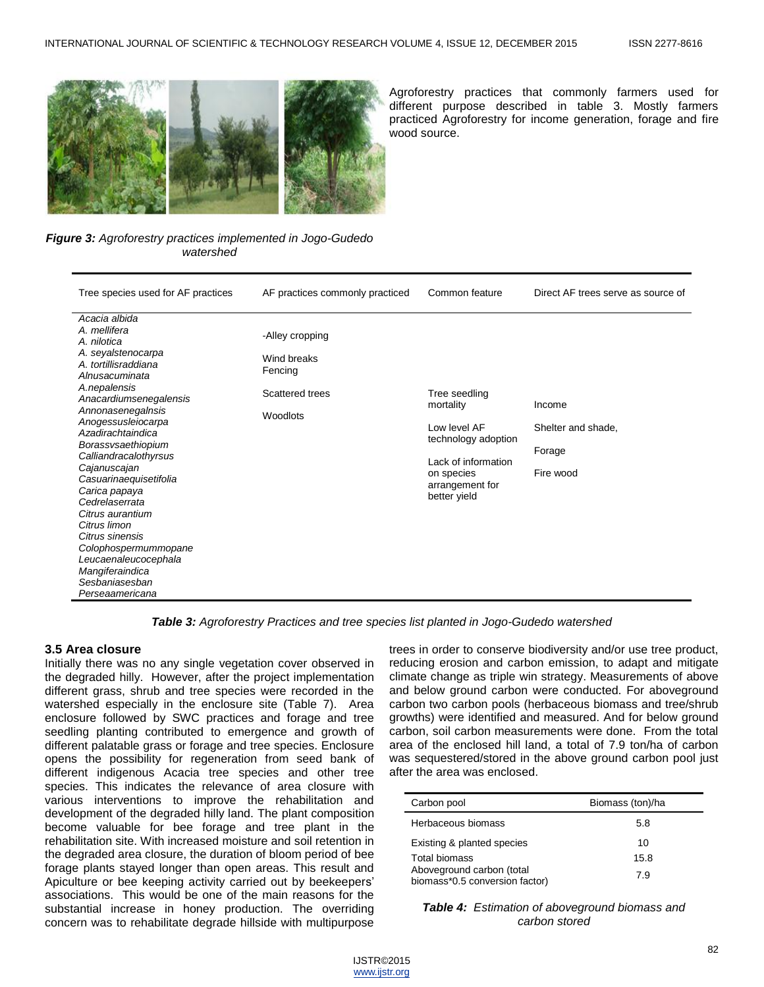

Agroforestry practices that commonly farmers used for different purpose described in table 3. Mostly farmers practiced Agroforestry for income generation, forage and fire wood source.

*Figure 3: Agroforestry practices implemented in Jogo-Gudedo watershed*

| Tree species used for AF practices                                                                                                                                                                                                                                                                                                                                                                                                                                                                                | AF practices commonly practiced                                          | Common feature                                                                                                                            | Direct AF trees serve as source of                  |
|-------------------------------------------------------------------------------------------------------------------------------------------------------------------------------------------------------------------------------------------------------------------------------------------------------------------------------------------------------------------------------------------------------------------------------------------------------------------------------------------------------------------|--------------------------------------------------------------------------|-------------------------------------------------------------------------------------------------------------------------------------------|-----------------------------------------------------|
| Acacia albida<br>A. mellifera<br>A. nilotica<br>A. seyalstenocarpa<br>A. tortillisraddiana<br>Alnusacuminata<br>A.nepalensis<br>Anacardiumsenegalensis<br>Annonasenegalnsis<br>Anogessusleiocarpa<br>Azadirachtaindica<br>Borassvsaethiopium<br>Calliandracalothyrsus<br>Cajanuscajan<br>Casuarinaequisetifolia<br>Carica papaya<br>Cedrelaserrata<br>Citrus aurantium<br>Citrus limon<br>Citrus sinensis<br>Colophospermummopane<br>Leucaenaleucocephala<br>Mangiferaindica<br>Sesbaniasesban<br>Perseaamericana | -Alley cropping<br>Wind breaks<br>Fencing<br>Scattered trees<br>Woodlots | Tree seedling<br>mortality<br>Low level AF<br>technology adoption<br>Lack of information<br>on species<br>arrangement for<br>better yield | Income<br>Shelter and shade,<br>Forage<br>Fire wood |

*Table 3: Agroforestry Practices and tree species list planted in Jogo-Gudedo watershed*

## **3.5 Area closure**

Initially there was no any single vegetation cover observed in the degraded hilly. However, after the project implementation different grass, shrub and tree species were recorded in the watershed especially in the enclosure site (Table 7). Area enclosure followed by SWC practices and forage and tree seedling planting contributed to emergence and growth of different palatable grass or forage and tree species. Enclosure opens the possibility for regeneration from seed bank of different indigenous Acacia tree species and other tree species. This indicates the relevance of area closure with various interventions to improve the rehabilitation and development of the degraded hilly land. The plant composition become valuable for bee forage and tree plant in the rehabilitation site. With increased moisture and soil retention in the degraded area closure, the duration of bloom period of bee forage plants stayed longer than open areas. This result and Apiculture or bee keeping activity carried out by beekeepers' associations. This would be one of the main reasons for the substantial increase in honey production. The overriding concern was to rehabilitate degrade hillside with multipurpose

trees in order to conserve biodiversity and/or use tree product, reducing erosion and carbon emission, to adapt and mitigate climate change as triple win strategy. Measurements of above and below ground carbon were conducted. For aboveground carbon two carbon pools (herbaceous biomass and tree/shrub growths) were identified and measured. And for below ground carbon, soil carbon measurements were done. From the total area of the enclosed hill land, a total of 7.9 ton/ha of carbon was sequestered/stored in the above ground carbon pool just after the area was enclosed.

| Carbon pool                                                 | Biomass (ton)/ha |
|-------------------------------------------------------------|------------------|
| Herbaceous biomass                                          | 5.8              |
| Existing & planted species                                  | 10               |
| Total biomass                                               | 15.8             |
| Aboveground carbon (total<br>biomass*0.5 conversion factor) | 7.9              |

*Table 4: Estimation of aboveground biomass and carbon stored*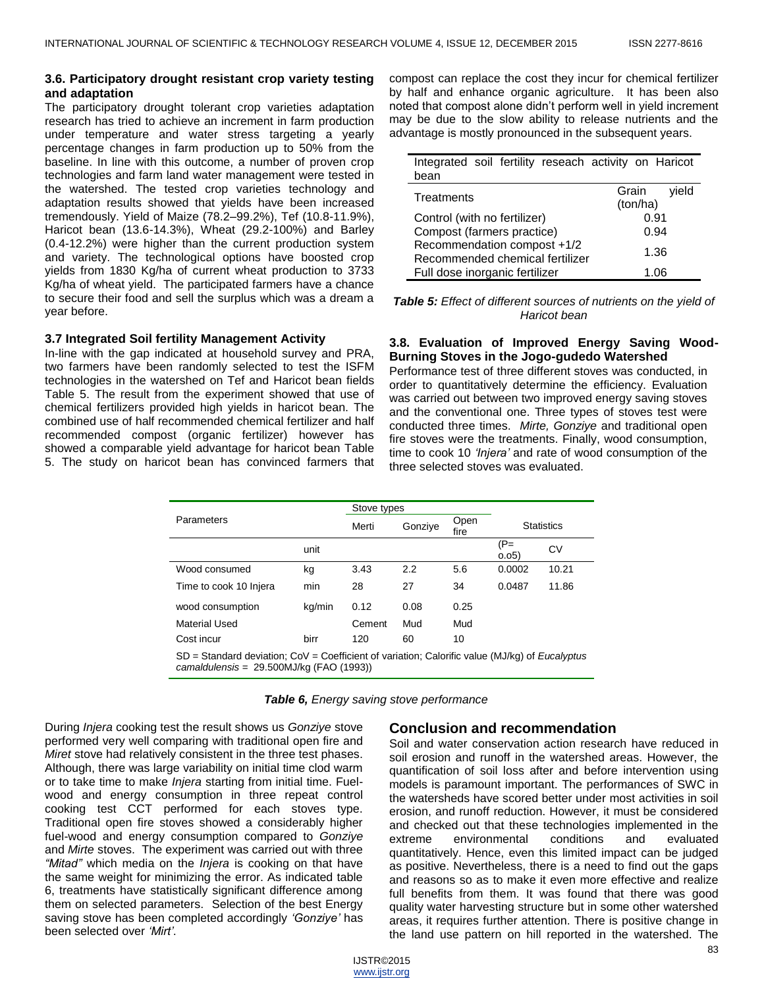## **3.6. Participatory drought resistant crop variety testing and adaptation**

The participatory drought tolerant crop varieties adaptation research has tried to achieve an increment in farm production under temperature and water stress targeting a yearly percentage changes in farm production up to 50% from the baseline. In line with this outcome, a number of proven crop technologies and farm land water management were tested in the watershed. The tested crop varieties technology and adaptation results showed that yields have been increased tremendously. Yield of Maize (78.2–99.2%), Tef (10.8-11.9%), Haricot bean (13.6-14.3%), Wheat (29.2-100%) and Barley (0.4-12.2%) were higher than the current production system and variety. The technological options have boosted crop yields from 1830 Kg/ha of current wheat production to 3733 Kg/ha of wheat yield. The participated farmers have a chance to secure their food and sell the surplus which was a dream a year before.

## **3.7 Integrated Soil fertility Management Activity**

In-line with the gap indicated at household survey and PRA, two farmers have been randomly selected to test the ISFM technologies in the watershed on Tef and Haricot bean fields Table 5. The result from the experiment showed that use of chemical fertilizers provided high yields in haricot bean. The combined use of half recommended chemical fertilizer and half recommended compost (organic fertilizer) however has showed a comparable yield advantage for haricot bean Table 5. The study on haricot bean has convinced farmers that compost can replace the cost they incur for chemical fertilizer by half and enhance organic agriculture. It has been also noted that compost alone didn't perform well in yield increment may be due to the slow ability to release nutrients and the advantage is mostly pronounced in the subsequent years.

| Integrated soil fertility reseach activity on Haricot<br>bean  |                            |  |  |
|----------------------------------------------------------------|----------------------------|--|--|
| Treatments                                                     | Grain<br>vield<br>(ton/ha) |  |  |
| Control (with no fertilizer)                                   | 0.91                       |  |  |
| Compost (farmers practice)                                     | 0.94                       |  |  |
| Recommendation compost +1/2<br>Recommended chemical fertilizer | 1.36                       |  |  |
| Full dose inorganic fertilizer                                 | 1.06                       |  |  |

*Table 5: Effect of different sources of nutrients on the yield of Haricot bean*

## **3.8. Evaluation of Improved Energy Saving Wood-Burning Stoves in the Jogo-gudedo Watershed**

Performance test of three different stoves was conducted, in order to quantitatively determine the efficiency. Evaluation was carried out between two improved energy saving stoves and the conventional one. Three types of stoves test were conducted three times. *Mirte, Gonziye* and traditional open fire stoves were the treatments. Finally, wood consumption, time to cook 10 *"Injera"* and rate of wood consumption of the three selected stoves was evaluated.

| Parameters                                                                                                                                             |        | Stove types |         |              |                   |       |
|--------------------------------------------------------------------------------------------------------------------------------------------------------|--------|-------------|---------|--------------|-------------------|-------|
|                                                                                                                                                        |        | Merti       | Gonzive | Open<br>fire | <b>Statistics</b> |       |
|                                                                                                                                                        | unit   |             |         |              | $(P=$<br>0.05)    | CV    |
| Wood consumed                                                                                                                                          | kg     | 3.43        | 2.2     | 5.6          | 0.0002            | 10.21 |
| Time to cook 10 Injera                                                                                                                                 | min    | 28          | 27      | 34           | 0.0487            | 11.86 |
| wood consumption                                                                                                                                       | kg/min | 0.12        | 0.08    | 0.25         |                   |       |
| Material Used                                                                                                                                          |        | Cement      | Mud     | Mud          |                   |       |
| Cost incur                                                                                                                                             | birr   | 120         | 60      | 10           |                   |       |
| $SD = Standard deviation$ ; CoV = Coefficient of variation; Calorific value (MJ/kg) of <i>Eucalyptus</i><br>$camaldulensis = 29.500MJ/kg (FAO (1993))$ |        |             |         |              |                   |       |

| Table 6, Energy saving stove performance |  |  |  |  |  |
|------------------------------------------|--|--|--|--|--|
|------------------------------------------|--|--|--|--|--|

During *Injera* cooking test the result shows us *Gonziye* stove performed very well comparing with traditional open fire and *Miret* stove had relatively consistent in the three test phases. Although, there was large variability on initial time clod warm or to take time to make *Injera* starting from initial time. Fuelwood and energy consumption in three repeat control cooking test CCT performed for each stoves type. Traditional open fire stoves showed a considerably higher fuel-wood and energy consumption compared to *Gonziye* and *Mirte* stoves. The experiment was carried out with three *"Mitad"* which media on the *Injera* is cooking on that have the same weight for minimizing the error. As indicated table 6, treatments have statistically significant difference among them on selected parameters. Selection of the best Energy saving stove has been completed accordingly *"Gonziye"* has been selected over *"Mirt"*.

# **Conclusion and recommendation**

Soil and water conservation action research have reduced in soil erosion and runoff in the watershed areas. However, the quantification of soil loss after and before intervention using models is paramount important. The performances of SWC in the watersheds have scored better under most activities in soil erosion, and runoff reduction. However, it must be considered and checked out that these technologies implemented in the extreme environmental conditions and evaluated quantitatively. Hence, even this limited impact can be judged as positive. Nevertheless, there is a need to find out the gaps and reasons so as to make it even more effective and realize full benefits from them. It was found that there was good quality water harvesting structure but in some other watershed areas, it requires further attention. There is positive change in the land use pattern on hill reported in the watershed. The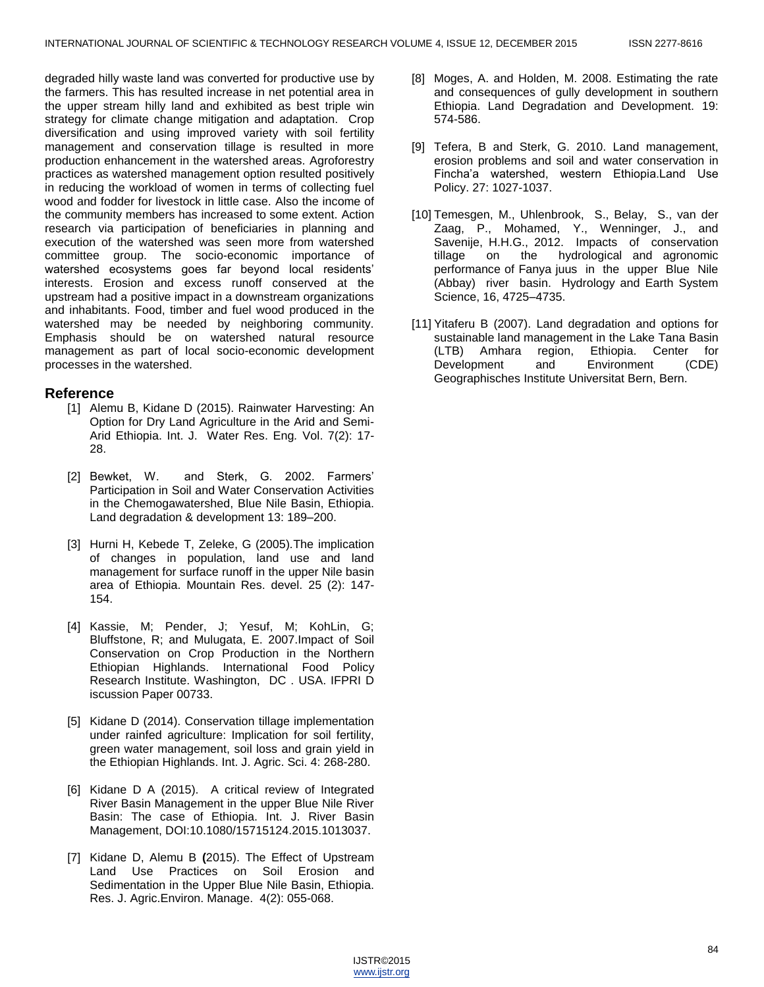degraded hilly waste land was converted for productive use by the farmers. This has resulted increase in net potential area in the upper stream hilly land and exhibited as best triple win strategy for climate change mitigation and adaptation. Crop diversification and using improved variety with soil fertility management and conservation tillage is resulted in more production enhancement in the watershed areas. Agroforestry practices as watershed management option resulted positively in reducing the workload of women in terms of collecting fuel wood and fodder for livestock in little case. Also the income of the community members has increased to some extent. Action research via participation of beneficiaries in planning and execution of the watershed was seen more from watershed committee group. The socio-economic importance of watershed ecosystems goes far beyond local residents' interests. Erosion and excess runoff conserved at the upstream had a positive impact in a downstream organizations and inhabitants. Food, timber and fuel wood produced in the watershed may be needed by neighboring community. Emphasis should be on watershed natural resource management as part of local socio-economic development processes in the watershed.

## **Reference**

- [1] Alemu B, Kidane D (2015). Rainwater Harvesting: An Option for Dry Land Agriculture in the Arid and Semi-Arid Ethiopia. Int. J. Water Res. Eng*.* Vol. 7(2): 17- 28.
- [2] Bewket, W. and Sterk, G. 2002. Farmers' Participation in Soil and Water Conservation Activities in the Chemogawatershed, Blue Nile Basin, Ethiopia. Land degradation & development 13: 189–200.
- [3] Hurni H, Kebede T, Zeleke, G (2005)*.*The implication of changes in population, land use and land management for surface runoff in the upper Nile basin area of Ethiopia. Mountain Res. devel. 25 (2): 147- 154.
- [4] Kassie, M; Pender, J; Yesuf, M; KohLin, G; Bluffstone, R; and Mulugata, E. 2007.Impact of Soil Conservation on Crop Production in the Northern Ethiopian Highlands. International Food Policy Research Institute. Washington, DC . USA. IFPRI D iscussion Paper 00733.
- [5] Kidane D (2014). Conservation tillage implementation under rainfed agriculture: Implication for soil fertility, green water management, soil loss and grain yield in the Ethiopian Highlands. Int. J. Agric. Sci. 4: 268-280.
- [6] Kidane D A (2015). A critical review of Integrated River Basin Management in the upper Blue Nile River Basin: The case of Ethiopia. Int. J. River Basin Management, DOI:10.1080/15715124.2015.1013037.
- [7] Kidane D, Alemu B **(**2015). The Effect of Upstream Land Use Practices on Soil Erosion and Sedimentation in the Upper Blue Nile Basin, Ethiopia. Res. J. Agric.Environ. Manage. 4(2): 055-068.
- [8] Moges, A. and Holden, M. 2008. Estimating the rate and consequences of gully development in southern Ethiopia. Land Degradation and Development. 19: 574-586.
- [9] Tefera, B and Sterk, G. 2010. Land management, erosion problems and soil and water conservation in Fincha'a watershed, western Ethiopia.Land Use Policy. 27: 1027-1037.
- [10] Temesgen, M., Uhlenbrook, S., Belay, S., van der Zaag, P., Mohamed, Y., Wenninger, J., and Savenije, H.H.G., 2012. Impacts of conservation tillage on the hydrological and agronomic performance of Fanya juus in the upper Blue Nile (Abbay) river basin. Hydrology and Earth System Science, 16, 4725–4735.
- [11] Yitaferu B (2007). Land degradation and options for sustainable land management in the Lake Tana Basin (LTB) Amhara region, Ethiopia. Center for Development and Environment (CDE) Geographisches Institute Universitat Bern, Bern.